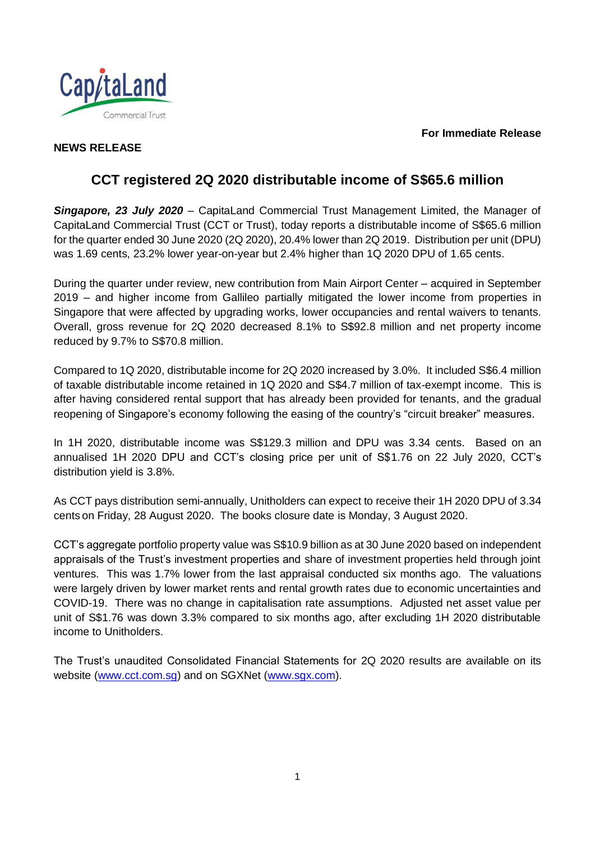#### **For Immediate Release**



# **NEWS RELEASE**

# **CCT registered 2Q 2020 distributable income of S\$65.6 million**

*Singapore, 23 July 2020* – CapitaLand Commercial Trust Management Limited, the Manager of CapitaLand Commercial Trust (CCT or Trust), today reports a distributable income of S\$65.6 million for the quarter ended 30 June 2020 (2Q 2020), 20.4% lower than 2Q 2019. Distribution per unit (DPU) was 1.69 cents, 23.2% lower year-on-year but 2.4% higher than 1Q 2020 DPU of 1.65 cents.

During the quarter under review, new contribution from Main Airport Center – acquired in September 2019 – and higher income from Gallileo partially mitigated the lower income from properties in Singapore that were affected by upgrading works, lower occupancies and rental waivers to tenants. Overall, gross revenue for 2Q 2020 decreased 8.1% to S\$92.8 million and net property income reduced by 9.7% to S\$70.8 million.

Compared to 1Q 2020, distributable income for 2Q 2020 increased by 3.0%. It included S\$6.4 million of taxable distributable income retained in 1Q 2020 and S\$4.7 million of tax-exempt income. This is after having considered rental support that has already been provided for tenants, and the gradual reopening of Singapore's economy following the easing of the country's "circuit breaker" measures.

In 1H 2020, distributable income was S\$129.3 million and DPU was 3.34 cents. Based on an annualised 1H 2020 DPU and CCT's closing price per unit of S\$1.76 on 22 July 2020, CCT's distribution yield is 3.8%.

As CCT pays distribution semi-annually, Unitholders can expect to receive their 1H 2020 DPU of 3.34 cents on Friday, 28 August 2020. The books closure date is Monday, 3 August 2020.

CCT's aggregate portfolio property value was S\$10.9 billion as at 30 June 2020 based on independent appraisals of the Trust's investment properties and share of investment properties held through joint ventures. This was 1.7% lower from the last appraisal conducted six months ago. The valuations were largely driven by lower market rents and rental growth rates due to economic uncertainties and COVID-19. There was no change in capitalisation rate assumptions. Adjusted net asset value per unit of S\$1.76 was down 3.3% compared to six months ago, after excluding 1H 2020 distributable income to Unitholders.

The Trust's unaudited Consolidated Financial Statements for 2Q 2020 results are available on its website [\(www.cct.com.sg\)](http://www.cct.com.sg/) and on SGXNet [\(www.sgx.com\)](http://www.sgx.com/).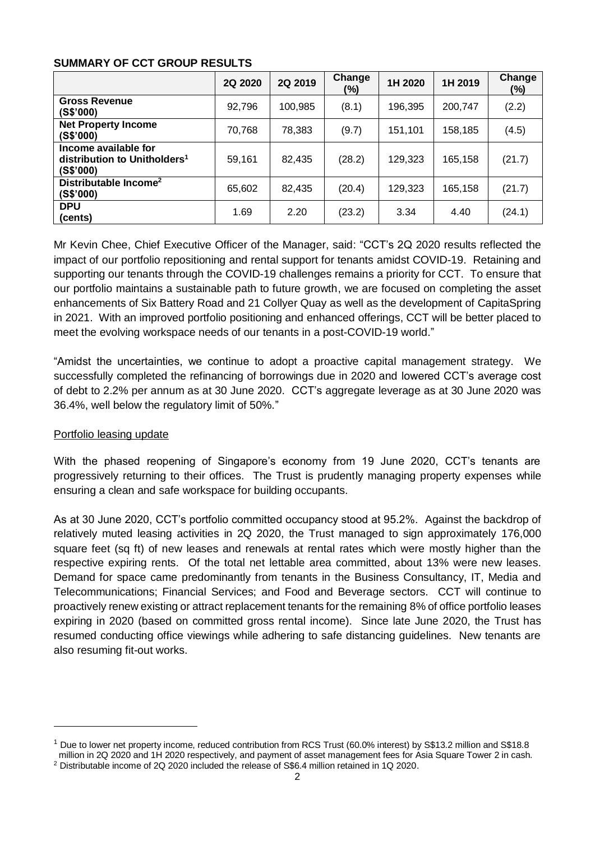#### **SUMMARY OF CCT GROUP RESULTS**

|                                                                               | 2Q 2020 | 2Q 2019 | Change<br>(%) | 1H 2020 | 1H 2019 | Change<br>(%) |
|-------------------------------------------------------------------------------|---------|---------|---------------|---------|---------|---------------|
| <b>Gross Revenue</b><br>(S\$'000)                                             | 92,796  | 100,985 | (8.1)         | 196,395 | 200,747 | (2.2)         |
| <b>Net Property Income</b><br>(S\$'000)                                       | 70,768  | 78,383  | (9.7)         | 151,101 | 158,185 | (4.5)         |
| Income available for<br>distribution to Unitholders <sup>1</sup><br>(S\$'000) | 59,161  | 82,435  | (28.2)        | 129,323 | 165,158 | (21.7)        |
| Distributable Income <sup>2</sup><br>(S\$'000)                                | 65,602  | 82,435  | (20.4)        | 129,323 | 165,158 | (21.7)        |
| <b>DPU</b><br>(cents)                                                         | 1.69    | 2.20    | (23.2)        | 3.34    | 4.40    | (24.1)        |

Mr Kevin Chee, Chief Executive Officer of the Manager, said: "CCT's 2Q 2020 results reflected the impact of our portfolio repositioning and rental support for tenants amidst COVID-19. Retaining and supporting our tenants through the COVID-19 challenges remains a priority for CCT. To ensure that our portfolio maintains a sustainable path to future growth, we are focused on completing the asset enhancements of Six Battery Road and 21 Collyer Quay as well as the development of CapitaSpring in 2021. With an improved portfolio positioning and enhanced offerings, CCT will be better placed to meet the evolving workspace needs of our tenants in a post-COVID-19 world."

"Amidst the uncertainties, we continue to adopt a proactive capital management strategy. We successfully completed the refinancing of borrowings due in 2020 and lowered CCT's average cost of debt to 2.2% per annum as at 30 June 2020. CCT's aggregate leverage as at 30 June 2020 was 36.4%, well below the regulatory limit of 50%."

# Portfolio leasing update

l

With the phased reopening of Singapore's economy from 19 June 2020, CCT's tenants are progressively returning to their offices. The Trust is prudently managing property expenses while ensuring a clean and safe workspace for building occupants.

As at 30 June 2020, CCT's portfolio committed occupancy stood at 95.2%. Against the backdrop of relatively muted leasing activities in 2Q 2020, the Trust managed to sign approximately 176,000 square feet (sq ft) of new leases and renewals at rental rates which were mostly higher than the respective expiring rents. Of the total net lettable area committed, about 13% were new leases. Demand for space came predominantly from tenants in the Business Consultancy, IT, Media and Telecommunications; Financial Services; and Food and Beverage sectors. CCT will continue to proactively renew existing or attract replacement tenants for the remaining 8% of office portfolio leases expiring in 2020 (based on committed gross rental income). Since late June 2020, the Trust has resumed conducting office viewings while adhering to safe distancing guidelines. New tenants are also resuming fit-out works.

<sup>1</sup> Due to lower net property income, reduced contribution from RCS Trust (60.0% interest) by S\$13.2 million and S\$18.8 million in 2Q 2020 and 1H 2020 respectively, and payment of asset management fees for Asia Square Tower 2 in cash.

<sup>2</sup> Distributable income of 2Q 2020 included the release of S\$6.4 million retained in 1Q 2020.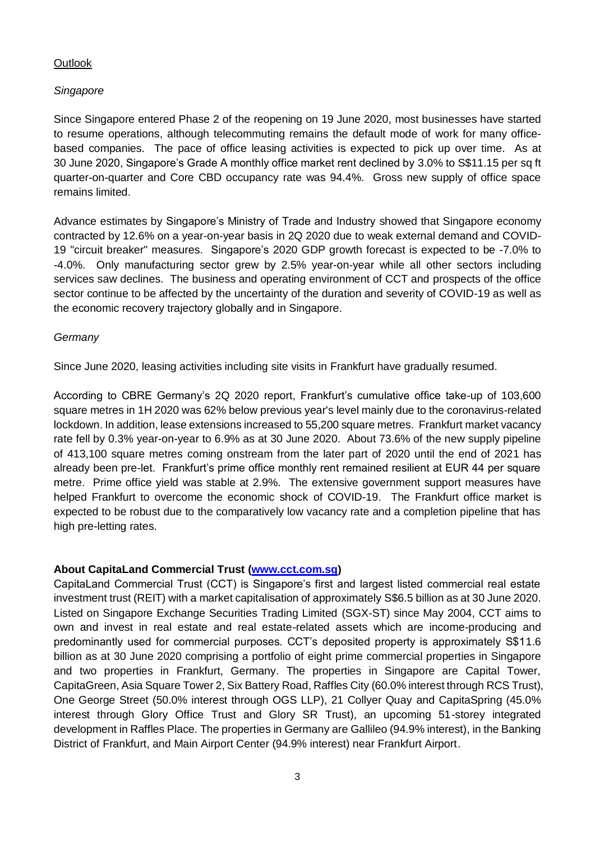# **Outlook**

# *Singapore*

Since Singapore entered Phase 2 of the reopening on 19 June 2020, most businesses have started to resume operations, although telecommuting remains the default mode of work for many officebased companies. The pace of office leasing activities is expected to pick up over time. As at 30 June 2020, Singapore's Grade A monthly office market rent declined by 3.0% to S\$11.15 per sq ft quarter-on-quarter and Core CBD occupancy rate was 94.4%. Gross new supply of office space remains limited.

Advance estimates by Singapore's Ministry of Trade and Industry showed that Singapore economy contracted by 12.6% on a year-on-year basis in 2Q 2020 due to weak external demand and COVID-19 "circuit breaker" measures. Singapore's 2020 GDP growth forecast is expected to be -7.0% to -4.0%. Only manufacturing sector grew by 2.5% year-on-year while all other sectors including services saw declines. The business and operating environment of CCT and prospects of the office sector continue to be affected by the uncertainty of the duration and severity of COVID-19 as well as the economic recovery trajectory globally and in Singapore.

# *Germany*

Since June 2020, leasing activities including site visits in Frankfurt have gradually resumed.

According to CBRE Germany's 2Q 2020 report, Frankfurt's cumulative office take-up of 103,600 square metres in 1H 2020 was 62% below previous year's level mainly due to the coronavirus-related lockdown. In addition, lease extensions increased to 55,200 square metres. Frankfurt market vacancy rate fell by 0.3% year-on-year to 6.9% as at 30 June 2020. About 73.6% of the new supply pipeline of 413,100 square metres coming onstream from the later part of 2020 until the end of 2021 has already been pre-let. Frankfurt's prime office monthly rent remained resilient at EUR 44 per square metre. Prime office yield was stable at 2.9%. The extensive government support measures have helped Frankfurt to overcome the economic shock of COVID-19. The Frankfurt office market is expected to be robust due to the comparatively low vacancy rate and a completion pipeline that has high pre-letting rates.

# **About CapitaLand Commercial Trust [\(www.cct.com.sg\)](file:///D:/Users/homeipeng/AppData/Local/Microsoft/Windows/Temporary%20Internet%20Files/Content.Outlook/P5NL80E6/www.cct.com.sg)**

CapitaLand Commercial Trust (CCT) is Singapore's first and largest listed commercial real estate investment trust (REIT) with a market capitalisation of approximately S\$6.5 billion as at 30 June 2020. Listed on Singapore Exchange Securities Trading Limited (SGX-ST) since May 2004, CCT aims to own and invest in real estate and real estate-related assets which are income-producing and predominantly used for commercial purposes. CCT's deposited property is approximately S\$11.6 billion as at 30 June 2020 comprising a portfolio of eight prime commercial properties in Singapore and two properties in Frankfurt, Germany. The properties in Singapore are Capital Tower, CapitaGreen, Asia Square Tower 2, Six Battery Road, Raffles City (60.0% interest through RCS Trust), One George Street (50.0% interest through OGS LLP), 21 Collyer Quay and CapitaSpring (45.0% interest through Glory Office Trust and Glory SR Trust), an upcoming 51-storey integrated development in Raffles Place. The properties in Germany are Gallileo (94.9% interest), in the Banking District of Frankfurt, and Main Airport Center (94.9% interest) near Frankfurt Airport.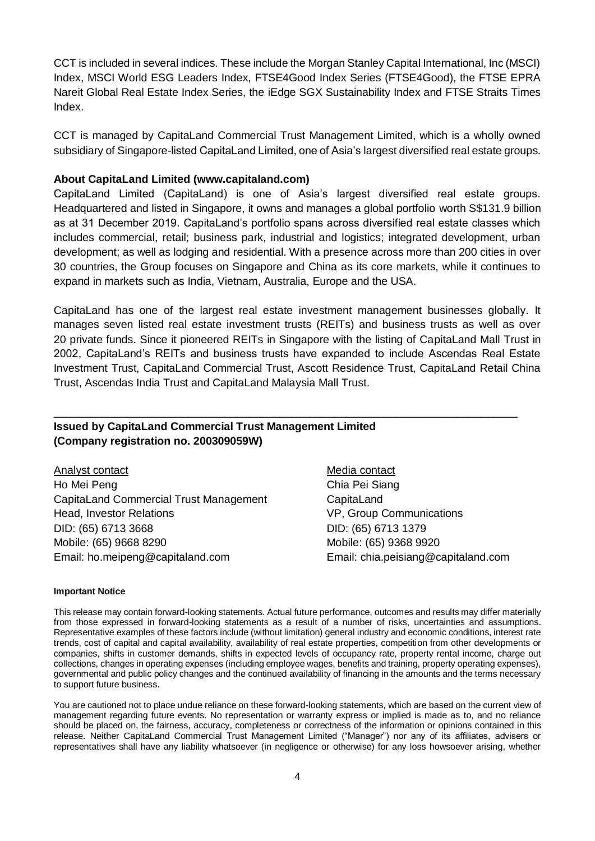CCT is included in several indices. These include the Morgan Stanley Capital International, Inc (MSCI) Index, MSCI World ESG Leaders Index, FTSE4Good Index Series (FTSE4Good), the FTSE EPRA Nareit Global Real Estate Index Series, the iEdge SGX Sustainability Index and FTSE Straits Times Index.

CCT is managed by CapitaLand Commercial Trust Management Limited, which is a wholly owned subsidiary of Singapore-listed CapitaLand Limited, one of Asia's largest diversified real estate groups.

#### **About CapitaLand Limited (www.capitaland.com)**

CapitaLand Limited (CapitaLand) is one of Asia's largest diversified real estate groups. Headquartered and listed in Singapore, it owns and manages a global portfolio worth S\$131.9 billion as at 31 December 2019. CapitaLand's portfolio spans across diversified real estate classes which includes commercial, retail; business park, industrial and logistics; integrated development, urban development; as well as lodging and residential. With a presence across more than 200 cities in over 30 countries, the Group focuses on Singapore and China as its core markets, while it continues to expand in markets such as India, Vietnam, Australia, Europe and the USA.

CapitaLand has one of the largest real estate investment management businesses globally. It manages seven listed real estate investment trusts (REITs) and business trusts as well as over 20 private funds. Since it pioneered REITs in Singapore with the listing of CapitaLand Mall Trust in 2002, CapitaLand's REITs and business trusts have expanded to include Ascendas Real Estate Investment Trust, CapitaLand Commercial Trust, Ascott Residence Trust, CapitaLand Retail China Trust, Ascendas India Trust and CapitaLand Malaysia Mall Trust.

\_\_\_\_\_\_\_\_\_\_\_\_\_\_\_\_\_\_\_\_\_\_\_\_\_\_\_\_\_\_\_\_\_\_\_\_\_\_\_\_\_\_\_\_\_\_\_\_\_\_\_\_\_\_\_\_\_\_\_\_\_\_\_\_\_\_\_\_\_\_\_\_\_\_\_\_

#### **Issued by CapitaLand Commercial Trust Management Limited (Company registration no. 200309059W)**

Analyst contact Ho Mei Peng CapitaLand Commercial Trust Management Head, Investor Relations DID: (65) 6713 3668 Mobile: (65) 9668 8290 Email: ho.meipeng@capitaland.com

Media contact Chia Pei Siang **CapitaLand** VP, Group Communications DID: (65) 6713 1379 Mobile: (65) 9368 9920 Email: chia.peisiang@capitaland.com

#### **Important Notice**

This release may contain forward-looking statements. Actual future performance, outcomes and results may differ materially from those expressed in forward-looking statements as a result of a number of risks, uncertainties and assumptions. Representative examples of these factors include (without limitation) general industry and economic conditions, interest rate trends, cost of capital and capital availability, availability of real estate properties, competition from other developments or companies, shifts in customer demands, shifts in expected levels of occupancy rate, property rental income, charge out collections, changes in operating expenses (including employee wages, benefits and training, property operating expenses), governmental and public policy changes and the continued availability of financing in the amounts and the terms necessary to support future business.

You are cautioned not to place undue reliance on these forward-looking statements, which are based on the current view of management regarding future events. No representation or warranty express or implied is made as to, and no reliance should be placed on, the fairness, accuracy, completeness or correctness of the information or opinions contained in this release. Neither CapitaLand Commercial Trust Management Limited ("Manager") nor any of its affiliates, advisers or representatives shall have any liability whatsoever (in negligence or otherwise) for any loss howsoever arising, whether